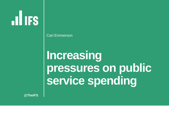**ILIFS** 

Carl Emmerson

# **Increasing pressures on public service spending**

**@TheIFS**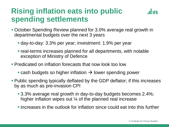## **Rising inflation eats into public spending settlements**



- October Spending Review planned for 3.0% average real growth in departmental budgets over the next 3 years
	- day-to-day: 3.3% per year; investment: 1.9% per year
	- **Example 1** real-terms increases planned for all departments, with notable exception of Ministry of Defence
- **Predicated on inflation forecasts that now look too low** 
	- cash budgets so higher inflation  $\rightarrow$  lower spending power
- **Public spending typically deflated by the GDP deflator; if this increases** by as much as pre-invasion CPI
	- 3.3% average real growth in day-to-day budgets becomes 2.4%; higher inflation wipes out <sup>1/2</sup> of the planned real increase
	- **Example 2** increases in the outlook for inflation since could eat into this further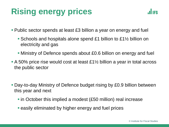# **Rising energy prices**



- Public sector spends at least £3 billion a year on energy and fuel
	- **E** Schools and hospitals alone spend £1 billion to £1½ billion on electricity and gas
	- Ministry of Defence spends about £0.6 billion on energy and fuel
- $\blacksquare$  A 50% price rise would cost at least £1½ billion a year in total across the public sector
- **Day-to-day Ministry of Defence budget rising by £0.9 billion between** this year and next
	- in October this implied a modest (£50 million) real increase
	- **E** easily eliminated by higher energy and fuel prices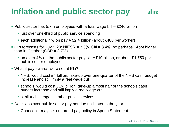# **Inflation and public sector pay**

- Public sector has 5.7m employees with a total wage bill ≈ £240 billion
	- just over one-third of public service spending
	- each additional 1% on pay  $\approx$  £2.4 billion (about £400 per worker)
- CPI forecasts for 2022−23: NIESR = 7.3%, Citi = 8.4%, so perhaps  $\sim$ 4ppt higher than in October (OBR  $= 3.7\%$ )
	- an extra 4% on the public sector pay bill  $\approx$  £10 billion, or about £1,750 per public sector employee
- What if pay awards were set at 5%?
	- NHS: would cost £4 billion, take-up over one-quarter of the NHS cash budget increase and still imply a real wage cut
	- **Example:** schools: would cost  $£1\frac{3}{4}$  billion, take-up almost half of the schools cash budget increase and still imply a real wage cut
	- **E** similar challenges in other public services
- Decisions over public sector pay not due until later in the year
	- Chancellor may set out broad pay policy in Spring Statement

**JULIES**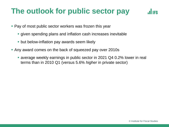## **The outlook for public sector pay**



- **Pay of most public sector workers was frozen this year** 
	- **given spending plans and inflation cash increases inevitable**
	- **but below-inflation pay awards seem likely**
- Any award comes on the back of squeezed pay over 2010s
	- average weekly earnings in public sector in 2021 Q4 0.2% lower in real terms than in 2010 Q1 (versus 5.6% *higher* in private sector)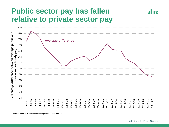### **Public sector pay has fallen relative to private sector pay**



Note: Source: IFS calculations using Labour Force Survey.

**II IFS**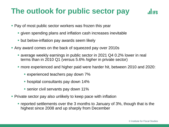## **The outlook for public sector pay**



- Pay of most public sector workers was frozen this year
	- **The given spending plans and inflation cash increases inevitable**
	- **but below-inflation pay awards seem likely**
- Any award comes on the back of squeezed pay over 2010s
	- average weekly earnings in public sector in 2021 Q4 0.2% lower in real terms than in 2010 Q1 (versus 5.6% *higher* in private sector)
	- more experienced and higher paid were harder hit, between 2010 and 2020:
		- **E** experienced teachers pay down 7%
		- **hospital consultants pay down 14%**
		- senior civil servants pay down 11%
- **Private sector pay also unlikely to keep pace with inflation** 
	- reported settlements over the 3 months to January of 3%, though that is the highest since 2008 and up sharply from December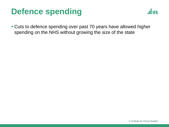# **Defence spending**



■ Cuts to defence spending over past 70 years have allowed higher spending on the NHS without growing the size of the state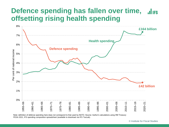#### **Defence spending has fallen over time, lilles offsetting rising health spending**



Note: definition of defence spending here does not correspond to that used by NATO. Source: Author's calculations using HM Treasury PESA 2021, IFS spending composition spreadsheet (available to download via IFS TaxLab).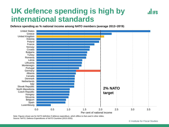### **UK defence spending is high by international standards**

**.ILIES** 

**Defence spending as % national income among NATO members (average 2013−2019)**



Note: Figures shown are for NATO definition if defence expenditure, which differs to that used in other slides. Source: NATO, Defence Expenditures of NATO Countries (2013-2020).